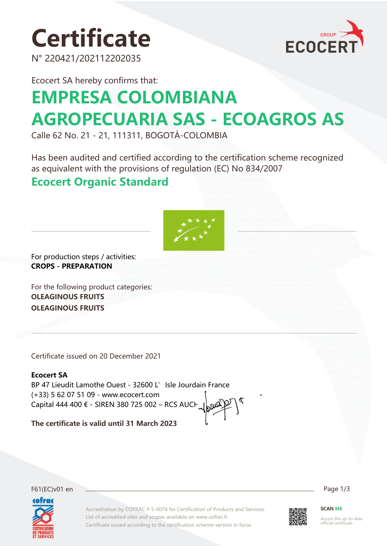# **Certificate**

N° 220421/202112202035



Ecocert SA hereby confirms that:

## **EMPRESA COLOMBIANA AGROPECUARIA SAS - ECOAGROS AS**

Calle 62 No. 21 - 21, 111311, BOGOTÁ-COLOMBIA

Has been audited and certified according to the certification scheme recognized as equivalent with the provisions of regulation (EC) No 834/2007

### **Ecocert Organic Standard**



For production steps / activities: **CROPS - PREPARATION**

For the following product categories: **OLEAGINOUS FRUITS OLEAGINOUS FRUITS**

Certificate issued on 20 December 2021

#### **Ecocert SA**

BP 47 Lieudit Lamothe Ouest - 32600 L' Isle Jourdain France (+33) 5 62 07 51 09 - www.ecocert.com Capital 444 400 € - SIREN 380 725 002 – RCS AUCH

**The certificate is valid until 31 March 2023**



F61(EC)v01 en Page 1/3

Accreditation by COFRAC # 5-0074 for Certification of Products and Services. List of accredited sites and scopes available on www.cofrac.fr Certificate issued according to the certification scheme version in force.



**SCAN ME**

Access this up-to-date official certificate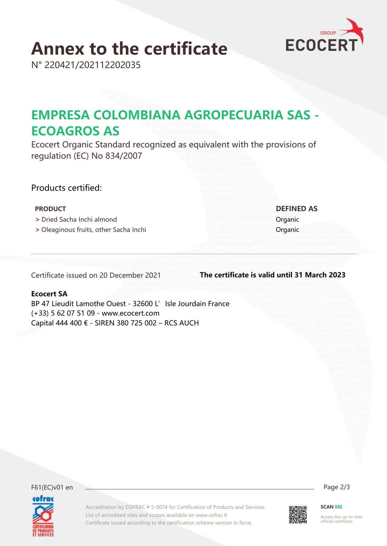## **Annex to the certificate**

N° 220421/202112202035

## **EMPRESA COLOMBIANA AGROPECUARIA SAS - ECOAGROS AS**

Ecocert Organic Standard recognized as equivalent with the provisions of regulation (EC) No 834/2007

#### Products certified:

#### **PRODUCT DEFINED AS**

- **>** Dried Sacha Inchi almond Organic
- **•** Oleaginous fruits, other Sacha Inchi **Organic** Organic

Certificate issued on 20 December 2021

**The certificate is valid until 31 March 2023**

#### **Ecocert SA**

BP 47 Lieudit Lamothe Ouest - 32600 L' Isle Jourdain France (+33) 5 62 07 51 09 - www.ecocert.com Capital 444 400 € - SIREN 380 725 002 – RCS AUCH

F61(EC)v01 en Page 2/3 cofrac

Accreditation by COFRAC # 5-0074 for Certification of Products and Services. List of accredited sites and scopes available on www.cofrac.fr Certificate issued according to the certification scheme version in force.



**SCAN ME**

Access this up-to-date official certificate